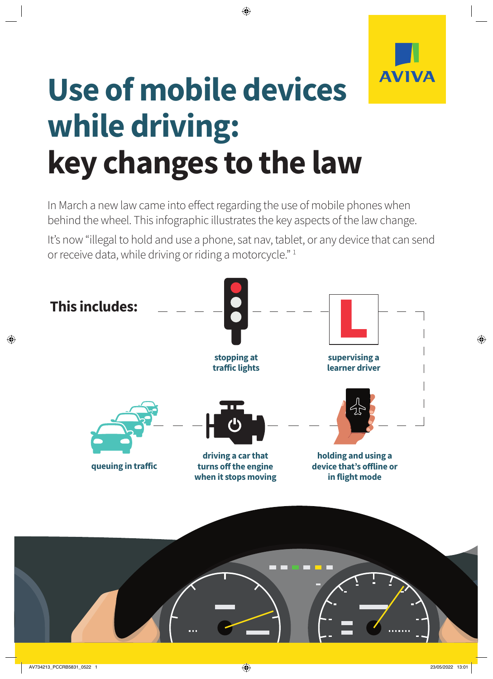

## **Use of mobile devices while driving: key changes to the law**

In March a new law came into effect regarding the use of mobile phones when behind the wheel. This infographic illustrates the key aspects of the law change.

It's now "illegal to hold and use a phone, sat nav, tablet, or any device that can send or receive data, while driving or riding a motorcycle." 1